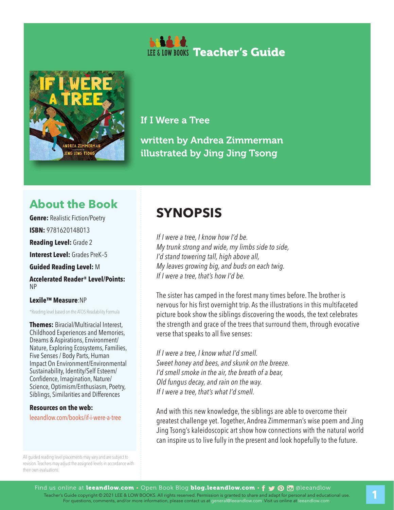



If I Were a Tree

written by Andrea Zimmerman illustrated by Jing Jing Tsong

## **About the Book**

**Genre: Realistic Fiction/Poetry ISBN:** 9781620148013 **Reading Level:** Grade 2

**Interest Level: Grades PreK-5** 

**Guided Reading Level:** M

**Accelerated Reader® Level/Points:**  NP

#### **Lexile™ Measure**:NP

\*Reading level based on the ATOS Readability Formula

**Themes:** Biracial/Multiracial Interest, Childhood Experiences and Memories, Dreams & Aspirations, Environment/ Nature, Exploring Ecosystems, Families, Five Senses / Body Parts, Human Impact On Environment/Environmental Sustainability, Identity/Self Esteem/ Confidence, Imagination, Nature/ Science, Optimism/Enthusiasm, Poetry, Siblings, Similarities and Differences

**Resources on the web:**  leeandlow.com/books/if-i-were-a-tree

All guided reading level placements may vary and are subject to revision. Teachers may adjust the assigned levels in accordance with their own evaluations.

## **SYNOPSIS**

*If I were a tree, I know how I'd be. My trunk strong and wide, my limbs side to side, I'd stand towering tall, high above all, My leaves growing big, and buds on each twig. If I were a tree, that's how I'd be.*

The sister has camped in the forest many times before. The brother is nervous for his first overnight trip. As the illustrations in this multifaceted picture book show the siblings discovering the woods, the text celebrates the strength and grace of the trees that surround them, through evocative verse that speaks to all five senses:

*If I were a tree, I know what I'd smell. Sweet honey and bees, and skunk on the breeze. I'd smell smoke in the air, the breath of a bear, Old fungus decay, and rain on the way. If I were a tree, that's what I'd smell.*

And with this new knowledge, the siblings are able to overcome their greatest challenge yet. Together, Andrea Zimmerman's wise poem and Jing Jing Tsong's kaleidoscopic art show how connections with the natural world can inspire us to live fully in the present and look hopefully to the future.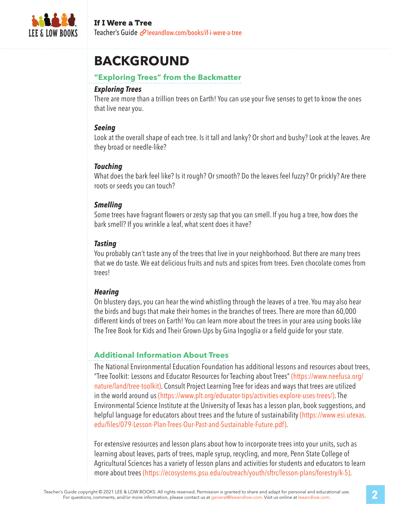

## **BACKGROUND**

#### **"Exploring Trees" from the Backmatter**

#### *Exploring Trees*

There are more than a trillion trees on Earth! You can use your five senses to get to know the ones that live near you.

#### *Seeing*

Look at the overall shape of each tree. Is it tall and lanky? Or short and bushy? Look at the leaves. Are they broad or needle-like?

#### *Touching*

What does the bark feel like? Is it rough? Or smooth? Do the leaves feel fuzzy? Or prickly? Are there roots or seeds you can touch?

#### *Smelling*

Some trees have fragrant flowers or zesty sap that you can smell. If you hug a tree, how does the bark smell? If you wrinkle a leaf, what scent does it have?

### *Tasting*

You probably can't taste any of the trees that live in your neighborhood. But there are many trees that we do taste. We eat delicious fruits and nuts and spices from trees. Even chocolate comes from trees!

#### *Hearing*

On blustery days, you can hear the wind whistling through the leaves of a tree. You may also hear the birds and bugs that make their homes in the branches of trees. There are more than 60,000 different kinds of trees on Earth! You can learn more about the trees in your area using books like The Tree Book for Kids and Their Grown-Ups by Gina Ingoglia or a field guide for your state.

#### **Additional Information About Trees**

The National Environmental Education Foundation has additional lessons and resources about trees, "Tree Toolkit: Lessons and Educator Resources for Teaching about Trees" (https://www.neefusa.org/ nature/land/tree-toolkit). Consult Project Learning Tree for ideas and ways that trees are utilized in the world around us (https://www.plt.org/educator-tips/activities-explore-uses-trees/). The Environmental Science Institute at the University of Texas has a lesson plan, book suggestions, and helpful language for educators about trees and the future of sustainability (https://www.esi.utexas. edu/files/079-Lesson-Plan-Trees-Our-Past-and-Sustainable-Future.pdf).

For extensive resources and lesson plans about how to incorporate trees into your units, such as learning about leaves, parts of trees, maple syrup, recycling, and more, Penn State College of Agricultural Sciences has a variety of lesson plans and activities for students and educators to learn more about trees (https://ecosystems.psu.edu/outreach/youth/sftrc/lesson-plans/forestry/k-5).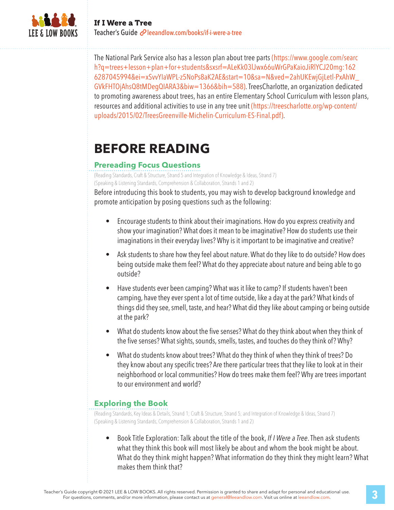

The National Park Service also has a lesson plan about tree parts (https://www.google.com/searc h?q=trees+lesson+plan+for+students&sxsrf=ALeKk03lJwx66uWrGPaKaioJiRlYCJ20mg:162 6287045994&ei=xSvvYIaWPL-z5NoPs8aK2AE&start=10&sa=N&ved=2ahUKEwjGjLetl-PxAhW\_ GVkFHTOjAhsQ8tMDegQIARA3&biw=1366&bih=588). TreesCharlotte, an organization dedicated to promoting awareness about trees, has an entire Elementary School Curriculum with lesson plans, resources and additional activities to use in any tree unit (https://treescharlotte.org/wp-content/ uploads/2015/02/TreesGreenville-Michelin-Curriculum-ES-Final.pdf).

## **BEFORE READING**

## **Prereading Focus Questions**

(Reading Standards, Craft & Structure, Strand 5 and Integration of Knowledge & Ideas, Strand 7) (Speaking & Listening Standards, Comprehension & Collaboration, Strands 1 and 2)

Before introducing this book to students, you may wish to develop background knowledge and promote anticipation by posing questions such as the following:

- Encourage students to think about their imaginations. How do you express creativity and show your imagination? What does it mean to be imaginative? How do students use their imaginations in their everyday lives? Why is it important to be imaginative and creative?
- Ask students to share how they feel about nature. What do they like to do outside? How does being outside make them feel? What do they appreciate about nature and being able to go outside?
- Have students ever been camping? What was it like to camp? If students haven't been camping, have they ever spent a lot of time outside, like a day at the park? What kinds of things did they see, smell, taste, and hear? What did they like about camping or being outside at the park?
- What do students know about the five senses? What do they think about when they think of the five senses? What sights, sounds, smells, tastes, and touches do they think of? Why?
- What do students know about trees? What do they think of when they think of trees? Do they know about any specific trees? Are there particular trees that they like to look at in their neighborhood or local communities? How do trees make them feel? Why are trees important to our environment and world?

## **Exploring the Book**

(Reading Standards, Key Ideas & Details, Strand 1; Craft & Structure, Strand 5; and Integration of Knowledge & Ideas, Strand 7) (Speaking & Listening Standards, Comprehension & Collaboration, Strands 1 and 2)

• Book Title Exploration: Talk about the title of the book, *If I Were a Tree*. Then ask students what they think this book will most likely be about and whom the book might be about. What do they think might happen? What information do they think they might learn? What makes them think that?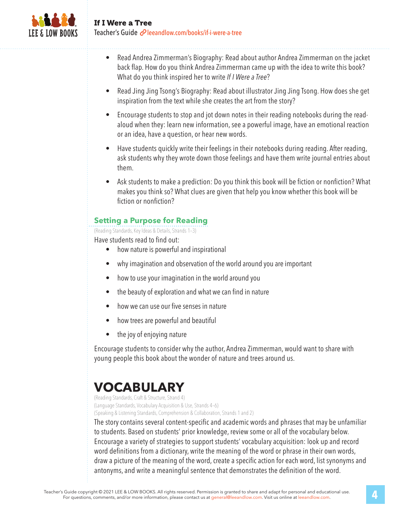

- Read Andrea Zimmerman's Biography: Read about author Andrea Zimmerman on the jacket back flap. How do you think Andrea Zimmerman came up with the idea to write this book? What do you think inspired her to write *If I Were a Tree*?
- Read Jing Jing Tsong's Biography: Read about illustrator Jing Jing Tsong. How does she get inspiration from the text while she creates the art from the story?
- Encourage students to stop and jot down notes in their reading notebooks during the readaloud when they: learn new information, see a powerful image, have an emotional reaction or an idea, have a question, or hear new words.
- Have students quickly write their feelings in their notebooks during reading. After reading, ask students why they wrote down those feelings and have them write journal entries about them.
- Ask students to make a prediction: Do you think this book will be fiction or nonfiction? What makes you think so? What clues are given that help you know whether this book will be fiction or nonfiction?

## **Setting a Purpose for Reading**

(Reading Standards, Key Ideas & Details, Strands 1–3)

Have students read to find out:

- how nature is powerful and inspirational
- why imagination and observation of the world around you are important
- how to use your imagination in the world around you
- the beauty of exploration and what we can find in nature
- how we can use our five senses in nature
- how trees are powerful and beautiful
- the joy of enjoying nature

Encourage students to consider why the author, Andrea Zimmerman, would want to share with young people this book about the wonder of nature and trees around us.

## **VOCABULARY**

(Reading Standards, Craft & Structure, Strand 4) (Language Standards, Vocabulary Acquisition & Use, Strands 4–6) (Speaking & Listening Standards, Comprehension & Collaboration, Strands 1 and 2)

The story contains several content-specific and academic words and phrases that may be unfamiliar to students. Based on students' prior knowledge, review some or all of the vocabulary below. Encourage a variety of strategies to support students' vocabulary acquisition: look up and record word definitions from a dictionary, write the meaning of the word or phrase in their own words, draw a picture of the meaning of the word, create a specific action for each word, list synonyms and antonyms, and write a meaningful sentence that demonstrates the definition of the word.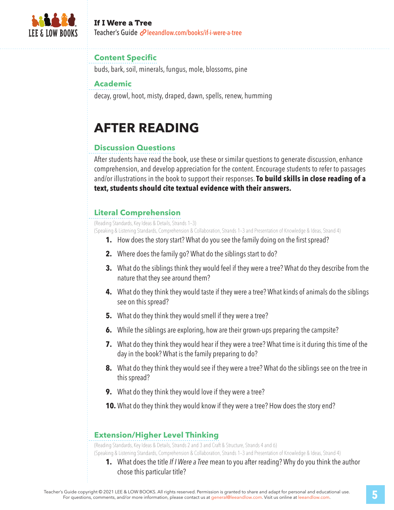

#### If I Were a Tree Teacher's Guide *e*leeandlow.com/books/if-i-were-a-tree

#### **Content Specific**

buds, bark, soil, minerals, fungus, mole, blossoms, pine

#### **Academic**

decay, growl, hoot, misty, draped, dawn, spells, renew, humming

# **AFTER READING**

## **Discussion Questions**

After students have read the book, use these or similar questions to generate discussion, enhance comprehension, and develop appreciation for the content. Encourage students to refer to passages and/or illustrations in the book to support their responses. **To build skills in close reading of a text, students should cite textual evidence with their answers.**

## **Literal Comprehension**

(Reading Standards, Key Ideas & Details, Strands 1–3)

(Speaking & Listening Standards, Comprehension & Collaboration, Strands 1–3 and Presentation of Knowledge & Ideas, Strand 4)

- **1.** How does the story start? What do you see the family doing on the first spread?
- **2.** Where does the family go? What do the siblings start to do?
- **3.** What do the siblings think they would feel if they were a tree? What do they describe from the nature that they see around them?
- **4.** What do they think they would taste if they were a tree? What kinds of animals do the siblings see on this spread?
- **5.** What do they think they would smell if they were a tree?
- **6.** While the siblings are exploring, how are their grown-ups preparing the campsite?
- **7.** What do they think they would hear if they were a tree? What time is it during this time of the day in the book? What is the family preparing to do?
- **8.** What do they think they would see if they were a tree? What do the siblings see on the tree in this spread?
- **9.** What do they think they would love if they were a tree?
- **10.** What do they think they would know if they were a tree? How does the story end?

## **Extension/Higher Level Thinking**

(Reading Standards, Key Ideas & Details, Strands 2 and 3 and Craft & Structure, Strands 4 and 6)

- (Speaking & Listening Standards, Comprehension & Collaboration, Strands 1–3 and Presentation of Knowledge & Ideas, Strand 4)
	- **1.** What does the title *If I Were a Tree* mean to you after reading? Why do you think the author chose this particular title?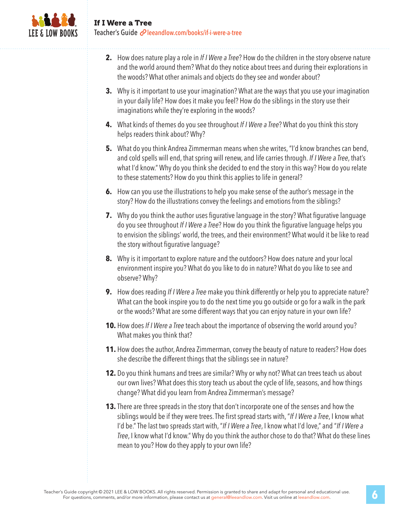

- **2.** How does nature play a role in *If I Were a Tree*? How do the children in the story observe nature and the world around them? What do they notice about trees and during their explorations in the woods? What other animals and objects do they see and wonder about?
- **3.** Why is it important to use your imagination? What are the ways that you use your imagination in your daily life? How does it make you feel? How do the siblings in the story use their imaginations while they're exploring in the woods?
- **4.** What kinds of themes do you see throughout *If I Were a Tree*? What do you think this story helps readers think about? Why?
- **5.** What do you think Andrea Zimmerman means when she writes, "I'd know branches can bend, and cold spells will end, that spring will renew, and life carries through. *If I Were a Tree*, that's what I'd know." Why do you think she decided to end the story in this way? How do you relate to these statements? How do you think this applies to life in general?
- **6.** How can you use the illustrations to help you make sense of the author's message in the story? How do the illustrations convey the feelings and emotions from the siblings?
- **7.** Why do you think the author uses figurative language in the story? What figurative language do you see throughout *If I Were a Tree*? How do you think the figurative language helps you to envision the siblings' world, the trees, and their environment? What would it be like to read the story without figurative language?
- **8.** Why is it important to explore nature and the outdoors? How does nature and your local environment inspire you? What do you like to do in nature? What do you like to see and observe? Why?
- **9.** How does reading *If I Were a Tree* make you think differently or help you to appreciate nature? What can the book inspire you to do the next time you go outside or go for a walk in the park or the woods? What are some different ways that you can enjoy nature in your own life?
- **10.** How does *If I Were a Tree* teach about the importance of observing the world around you? What makes you think that?
- **11.** How does the author, Andrea Zimmerman, convey the beauty of nature to readers? How does she describe the different things that the siblings see in nature?
- **12.** Do you think humans and trees are similar? Why or why not? What can trees teach us about our own lives? What does this story teach us about the cycle of life, seasons, and how things change? What did you learn from Andrea Zimmerman's message?
- **13.** There are three spreads in the story that don't incorporate one of the senses and how the siblings would be if they were trees. The first spread starts with, "*If I Were a Tree*, I know what I'd be." The last two spreads start with, "*If I Were a Tree*, I know what I'd love," and "*If I Were a Tree*, I know what I'd know." Why do you think the author chose to do that? What do these lines mean to you? How do they apply to your own life?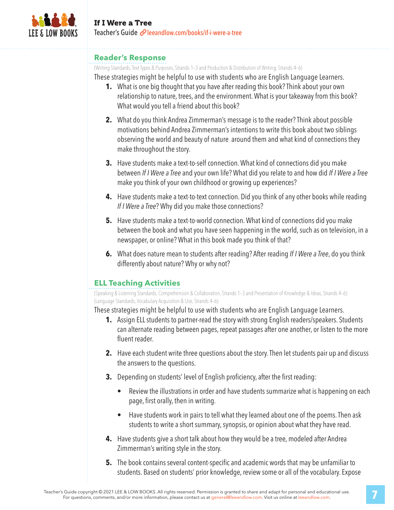

#### **Reader's Response**

(Writing Standards, Text Types & Purposes, Strands 1–3 and Production & Distribution of Writing, Strands 4–6)

These strategies might be helpful to use with students who are English Language Learners.

- **1.** What is one big thought that you have after reading this book? Think about your own relationship to nature, trees, and the environment. What is your takeaway from this book? What would you tell a friend about this book?
- **2.** What do you think Andrea Zimmerman's message is to the reader? Think about possible motivations behind Andrea Zimmerman's intentions to write this book about two siblings observing the world and beauty of nature around them and what kind of connections they make throughout the story.
- **3.** Have students make a text-to-self connection. What kind of connections did you make between *If I Were a Tree* and your own life? What did you relate to and how did *If I Were a Tree* make you think of your own childhood or growing up experiences?
- **4.** Have students make a text-to-text connection. Did you think of any other books while reading *If I Were a Tree*? Why did you make those connections?
- **5.** Have students make a text-to-world connection. What kind of connections did you make between the book and what you have seen happening in the world, such as on television, in a newspaper, or online? What in this book made you think of that?
- **6.** What does nature mean to students after reading? After reading *If I Were a Tree*, do you think differently about nature? Why or why not?

## **ELL Teaching Activities**

(Speaking & Listening Standards, Comprehension & Collaboration, Strands 1–3 and Presentation of Knowledge & Ideas, Strands 4–6) (Language Standards, Vocabulary Acquisition & Use, Strands 4–6)

These strategies might be helpful to use with students who are English Language Learners.

- **1.** Assign ELL students to partner-read the story with strong English readers/speakers. Students can alternate reading between pages, repeat passages after one another, or listen to the more fluent reader.
- **2.** Have each student write three questions about the story. Then let students pair up and discuss the answers to the questions.
- **3.** Depending on students' level of English proficiency, after the first reading:
	- Review the illustrations in order and have students summarize what is happening on each page, first orally, then in writing.
	- Have students work in pairs to tell what they learned about one of the poems. Then ask students to write a short summary, synopsis, or opinion about what they have read.
- **4.** Have students give a short talk about how they would be a tree, modeled after Andrea Zimmerman's writing style in the story.
- **5.** The book contains several content-specific and academic words that may be unfamiliar to students. Based on students' prior knowledge, review some or all of the vocabulary. Expose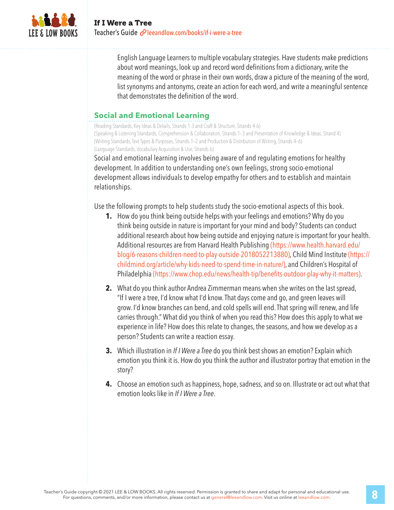

English Language Learners to multiple vocabulary strategies. Have students make predictions about word meanings, look up and record word definitions from a dictionary, write the meaning of the word or phrase in their own words, draw a picture of the meaning of the word, list synonyms and antonyms, create an action for each word, and write a meaningful sentence that demonstrates the definition of the word.

#### **Social and Emotional Learning**

(Reading Standards, Key Ideas & Details, Strands 1-3 and Craft & Structure, Strands 4-6) (Speaking & Listening Standards, Comprehension & Collaboration, Strands 1–3 and Presentation of Knowledge & Ideas, Strand 4) (Writing Standards, Text Types & Purposes, Strands 1–2 and Production & Distribution of Writing, Strands 4–6) (Language Standards, Vocabulary Acquisition & Use, Strands 6)

Social and emotional learning involves being aware of and regulating emotions for healthy development. In addition to understanding one's own feelings, strong socio-emotional development allows individuals to develop empathy for others and to establish and maintain relationships.

Use the following prompts to help students study the socio-emotional aspects of this book.

- **1.** How do you think being outside helps with your feelings and emotions? Why do you think being outside in nature is important for your mind and body? Students can conduct additional research about how being outside and enjoying nature is important for your health. Additional resources are from Harvard Health Publishing (https://www.health.harvard.edu/ blog/6-reasons-children-need-to-play-outside-2018052213880), Child Mind Institute (https:// childmind.org/article/why-kids-need-to-spend-time-in-nature/), and Children's Hospital of Philadelphia (https://www.chop.edu/news/health-tip/benefits-outdoor-play-why-it-matters).
- **2.** What do you think author Andrea Zimmerman means when she writes on the last spread, "If I were a tree, I'd know what I'd know. That days come and go, and green leaves will grow. I'd know branches can bend, and cold spells will end. That spring will renew, and life carries through." What did you think of when you read this? How does this apply to what we experience in life? How does this relate to changes, the seasons, and how we develop as a person? Students can write a reaction essay.
- **3.** Which illustration in *If I Were a Tree* do you think best shows an emotion? Explain which emotion you think it is. How do you think the author and illustrator portray that emotion in the story?
- **4.** Choose an emotion such as happiness, hope, sadness, and so on. Illustrate or act out what that emotion looks like in *If I Were a Tree*.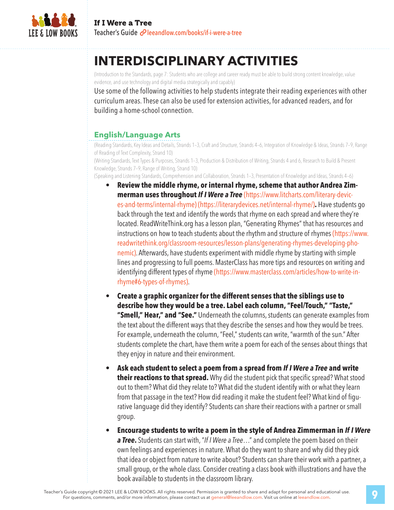

# **INTERDISCIPLINARY ACTIVITIES**

(Introduction to the Standards, page 7: Students who are college and career ready must be able to build strong content knowledge, value evidence, and use technology and digital media strategically and capably)

Use some of the following activities to help students integrate their reading experiences with other curriculum areas. These can also be used for extension activities, for advanced readers, and for building a home-school connection.

## **English/Language Arts**

(Reading Standards, Key Ideas and Details, Strands 1–3, Craft and Structure, Strands 4–6, Integration of Knowledge & Ideas, Strands 7–9, Range of Reading of Text Complexity, Strand 10)

(Writing Standards, Text Types & Purposes, Strands 1–3, Production & Distribution of Writing, Strands 4 and 6, Research to Build & Present Knowledge, Strands 7–9, Range of Writing, Strand 10)

(Speaking and Listening Standards, Comprehension and Collaboration, Strands 1–3, Presentation of Knowledge and Ideas, Strands 4–6)

- **Review the middle rhyme, or internal rhyme, scheme that author Andrea Zimmerman uses throughout** *If I Were a Tree* (https://www.litcharts.com/literary-devices-and-terms/internal-rhyme) (https://literarydevices.net/internal-rhyme/)**.** Have students go back through the text and identify the words that rhyme on each spread and where they're located. ReadWriteThink.org has a lesson plan, "Generating Rhymes" that has resources and instructions on how to teach students about the rhythm and structure of rhymes (https://www. readwritethink.org/classroom-resources/lesson-plans/generating-rhymes-developing-phonemic). Afterwards, have students experiment with middle rhyme by starting with simple lines and progressing to full poems. MasterClass has more tips and resources on writing and identifying different types of rhyme (https://www.masterclass.com/articles/how-to-write-inrhyme#6-types-of-rhymes).
- **Create a graphic organizer for the different senses that the siblings use to describe how they would be a tree. Label each column, "Feel/Touch," "Taste," "Smell," Hear," and "See."** Underneath the columns, students can generate examples from the text about the different ways that they describe the senses and how they would be trees. For example, underneath the column, "Feel," students can write, "warmth of the sun." After students complete the chart, have them write a poem for each of the senses about things that they enjoy in nature and their environment.
- **Ask each student to select a poem from a spread from** *If I Were a Tree* **and write their reactions to that spread.** Why did the student pick that specific spread? What stood out to them? What did they relate to? What did the student identify with or what they learn from that passage in the text? How did reading it make the student feel? What kind of figurative language did they identify? Students can share their reactions with a partner or small group.
- **Encourage students to write a poem in the style of Andrea Zimmerman in** *If I Were a Tree***.** Students can start with, "*If I Were a Tree*…" and complete the poem based on their own feelings and experiences in nature. What do they want to share and why did they pick that idea or object from nature to write about? Students can share their work with a partner, a small group, or the whole class. Consider creating a class book with illustrations and have the book available to students in the classroom library.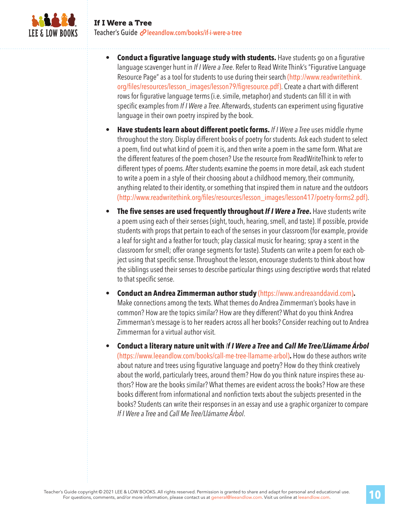

- **Conduct a figurative language study with students.** Have students go on a figurative language scavenger hunt in *If I Were a Tree*. Refer to Read Write Think's "Figurative Language Resource Page" as a tool for students to use during their search (http://www.readwritethink. org/files/resources/lesson\_images/lesson79/figresource.pdf). Create a chart with different rows for figurative language terms (i.e. simile, metaphor) and students can fill it in with specific examples from *If I Were a Tree*. Afterwards, students can experiment using figurative language in their own poetry inspired by the book.
- **Have students learn about different poetic forms.** *If I Were a Tree* uses middle rhyme throughout the story. Display different books of poetry for students. Ask each student to select a poem, find out what kind of poem it is, and then write a poem in the same form. What are the different features of the poem chosen? Use the resource from ReadWriteThink to refer to different types of poems. After students examine the poems in more detail, ask each student to write a poem in a style of their choosing about a childhood memory, their community, anything related to their identity, or something that inspired them in nature and the outdoors (http://www.readwritethink.org/files/resources/lesson\_images/lesson417/poetry-forms2.pdf).
- **The five senses are used frequently throughout** *If I Were a Tree***.** Have students write a poem using each of their senses (sight, touch, hearing, smell, and taste). If possible, provide students with props that pertain to each of the senses in your classroom (for example, provide a leaf for sight and a feather for touch; play classical music for hearing; spray a scent in the classroom for smell; offer orange segments for taste). Students can write a poem for each object using that specific sense. Throughout the lesson, encourage students to think about how the siblings used their senses to describe particular things using descriptive words that related to that specific sense.
- **Conduct an Andrea Zimmerman author study** (https://www.andreaanddavid.com)**.**  Make connections among the texts. What themes do Andrea Zimmerman's books have in common? How are the topics similar? How are they different? What do you think Andrea Zimmerman's message is to her readers across all her books? Consider reaching out to Andrea Zimmerman for a virtual author visit.
- **Conduct a literary nature unit with** *If I Were a Tree* **and** *Call Me Tree/Llámame Árbol*  (https://www.leeandlow.com/books/call-me-tree-llamame-arbol)**.** How do these authors write about nature and trees using figurative language and poetry? How do they think creatively about the world, particularly trees, around them? How do you think nature inspires these authors? How are the books similar? What themes are evident across the books? How are these books different from informational and nonfiction texts about the subjects presented in the books? Students can write their responses in an essay and use a graphic organizer to compare *If I Were a Tree* and *Call Me Tree/Llámame Árbol*.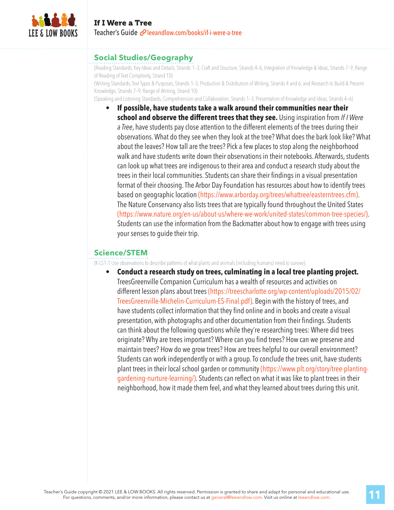

#### **Social Studies/Geography**

(Reading Standards, Key Ideas and Details, Strands 1–3, Craft and Structure, Strands 4–6, Integration of Knowledge & Ideas, Strands 7–9, Range of Reading of Text Complexity, Strand 10)

(Writing Standards, Text Types & Purposes, Strands 1–3, Production & Distribution of Writing, Strands 4 and 6, and Research to Build & Present Knowledge, Strands 7–9, Range of Writing, Strand 10)

(Speaking and Listening Standards, Comprehension and Collaboration, Strands 1–3, Presentation of Knowledge and Ideas, Strands 4–6)

• **If possible, have students take a walk around their communities near their school and observe the different trees that they see.** Using inspiration from *If I Were a Tree*, have students pay close attention to the different elements of the trees during their observations. What do they see when they look at the tree? What does the bark look like? What about the leaves? How tall are the trees? Pick a few places to stop along the neighborhood walk and have students write down their observations in their notebooks. Afterwards, students can look up what trees are indigenous to their area and conduct a research study about the trees in their local communities. Students can share their findings in a visual presentation format of their choosing. The Arbor Day Foundation has resources about how to identify trees based on geographic location (https://www.arborday.org/trees/whattree/easterntrees.cfm). The Nature Conservancy also lists trees that are typically found throughout the United States (https://www.nature.org/en-us/about-us/where-we-work/united-states/common-tree-species/). Students can use the information from the Backmatter about how to engage with trees using your senses to guide their trip.

## **Science/STEM**

(K-LS1-1 Use observations to describe patterns of what plants and animals (including humans) need to survive).

• **Conduct a research study on trees, culminating in a local tree planting project.**  TreesGreenville Companion Curriculum has a wealth of resources and activities on different lesson plans about trees (https://treescharlotte.org/wp-content/uploads/2015/02/ TreesGreenville-Michelin-Curriculum-ES-Final.pdf). Begin with the history of trees, and have students collect information that they find online and in books and create a visual presentation, with photographs and other documentation from their findings. Students can think about the following questions while they're researching trees: Where did trees originate? Why are trees important? Where can you find trees? How can we preserve and maintain trees? How do we grow trees? How are trees helpful to our overall environment? Students can work independently or with a group. To conclude the trees unit, have students plant trees in their local school garden or community (https://www.plt.org/story/tree-plantinggardening-nurture-learning/). Students can reflect on what it was like to plant trees in their neighborhood, how it made them feel, and what they learned about trees during this unit.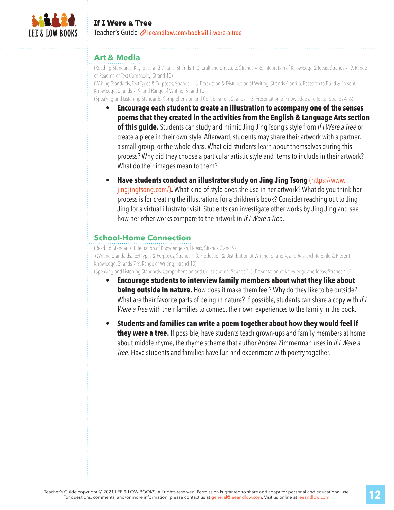

#### **Art & Media**

(Reading Standards, Key Ideas and Details, Strands 1–3, Craft and Structure, Strands 4–6, Integration of Knowledge & Ideas, Strands 7–9, Range of Reading of Text Complexity, Strand 10)

(Writing Standards, Text Types & Purposes, Strands 1–3, Production & Distribution of Writing, Strands 4 and 6, Research to Build & Present Knowledge, Strands 7–9, and Range of Writing, Strand 10)

(Speaking and Listening Standards, Comprehension and Collaboration, Strands 1–3, Presentation of Knowledge and Ideas, Strands 4–6)

• **Encourage each student to create an illustration to accompany one of the senses poems that they created in the activities from the English & Language Arts section of this guide.** Students can study and mimic Jing Jing Tsong's style from *If I Were a Tree* or create a piece in their own style. Afterward, students may share their artwork with a partner, a small group, or the whole class. What did students learn about themselves during this process? Why did they choose a particular artistic style and items to include in their artwork? What do their images mean to them?

#### • **Have students conduct an illustrator study on Jing Jing Tsong** (https://www.

jingjingtsong.com/)**.** What kind of style does she use in her artwork? What do you think her process is for creating the illustrations for a children's book? Consider reaching out to Jing Jing for a virtual illustrator visit. Students can investigate other works by Jing Jing and see how her other works compare to the artwork in *If I Were a Tree*.

#### **School-Home Connection**

(Reading Standards, Integration of Knowledge and Ideas, Strands 7 and 9) (Writing Standards, Text Types & Purposes, Strands 1-3, Production & Distribution of Writing, Strand 4, and Research to Build & Present Knowledge, Strands 7-9, Range of Writing, Strand 10)

(Speaking and Listening Standards, Comprehension and Collaboration, Strands 1-3, Presentation of Knowledge and Ideas, Strands 4-6)

- **Encourage students to interview family members about what they like about being outside in nature.** How does it make them feel? Why do they like to be outside? What are their favorite parts of being in nature? If possible, students can share a copy with *If I Were a Tree* with their families to connect their own experiences to the family in the book.
- **Students and families can write a poem together about how they would feel if they were a tree.** If possible, have students teach grown-ups and family members at home about middle rhyme, the rhyme scheme that author Andrea Zimmerman uses in *If I Were a Tree*. Have students and families have fun and experiment with poetry together.